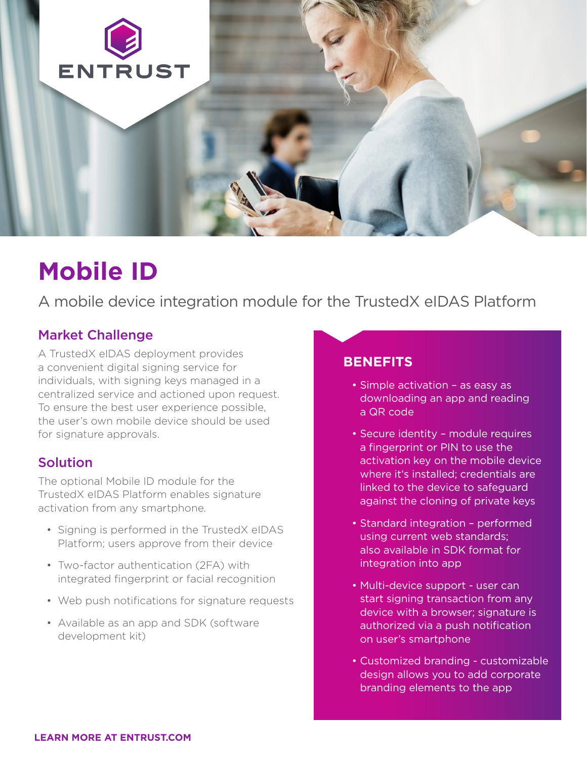

# **Mobile ID**

A mobile device integration module for the TrustedX eIDAS Platform

#### Market Challenge

A TrustedX eIDAS deployment provides a convenient digital signing service for individuals, with signing keys managed in a centralized service and actioned upon request. To ensure the best user experience possible, the user's own mobile device should be used for signature approvals.

### Solution

The optional Mobile ID module for the TrustedX eIDAS Platform enables signature activation from any smartphone.

- Signing is performed in the TrustedX eIDAS Platform; users approve from their device
- Two-factor authentication (2FA) with integrated fingerprint or facial recognition
- Web push notifications for signature requests
- Available as an app and SDK (software development kit)

#### **BENEFITS**

- Simple activation as easy as downloading an app and reading a QR code
- Secure identity module requires a fingerprint or PIN to use the activation key on the mobile device where it's installed; credentials are linked to the device to safeguard against the cloning of private keys
- Standard integration performed using current web standards; also available in SDK format for integration into app
- Multi-device support user can start signing transaction from any device with a browser; signature is authorized via a push notification on user's smartphone
- Customized branding customizable design allows you to add corporate branding elements to the app